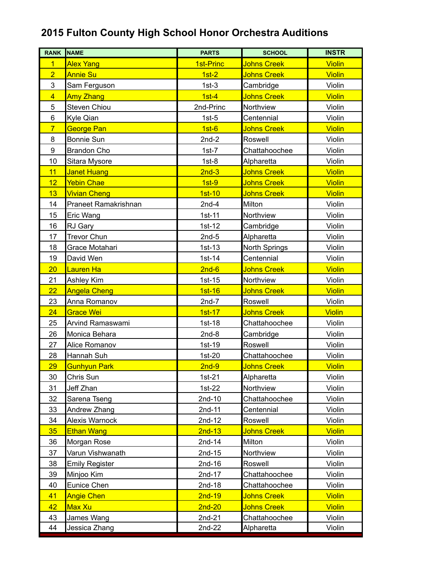## **2015 Fulton County High School Honor Orchestra Auditions**

| <b>RANK</b>             | <b>NAME</b>           | <b>PARTS</b> | <b>SCHOOL</b>      | <b>INSTR</b>  |
|-------------------------|-----------------------|--------------|--------------------|---------------|
| $\overline{1}$          | <b>Alex Yang</b>      | 1st-Princ    | <b>Johns Creek</b> | <b>Violin</b> |
| $\overline{2}$          | <b>Annie Su</b>       | $1st-2$      | <b>Johns Creek</b> | <b>Violin</b> |
| 3                       | Sam Ferguson          | $1st-3$      | Cambridge          | Violin        |
| $\overline{\mathbf{4}}$ | <b>Amy Zhang</b>      | $1st-4$      | Johns Creek        | <b>Violin</b> |
| 5                       | <b>Steven Chiou</b>   | 2nd-Princ    | Northview          | Violin        |
| 6                       | Kyle Qian             | $1st-5$      | Centennial         | Violin        |
| $\overline{7}$          | <b>George Pan</b>     | $1st-6$      | <b>Johns Creek</b> | <b>Violin</b> |
| 8                       | <b>Bonnie Sun</b>     | $2nd-2$      | Roswell            | Violin        |
| 9                       | <b>Brandon Cho</b>    | $1st-7$      | Chattahoochee      | Violin        |
| 10                      | Sitara Mysore         | $1st-8$      | Alpharetta         | Violin        |
| 11                      | <b>Janet Huang</b>    | $2nd-3$      | <b>Johns Creek</b> | <b>Violin</b> |
| 12                      | Yebin Chae            | $1st-9$      | <b>Johns Creek</b> | <b>Violin</b> |
| 13                      | <b>Vivian Cheng</b>   | $1st-10$     | <b>Johns Creek</b> | <b>Violin</b> |
| 14                      | Praneet Ramakrishnan  | $2nd-4$      | Milton             | Violin        |
| 15                      | Eric Wang             | 1st-11       | Northview          | Violin        |
| 16                      | RJ Gary               | 1st-12       | Cambridge          | Violin        |
| 17                      | <b>Trevor Chun</b>    | $2nd-5$      | Alpharetta         | Violin        |
| 18                      | Grace Motahari        | $1st-13$     | North Springs      | Violin        |
| 19                      | David Wen             | $1st-14$     | Centennial         | Violin        |
| 20                      | Lauren Ha             | $2nd-6$      | <b>Johns Creek</b> | <b>Violin</b> |
| 21                      | Ashley Kim            | $1st-15$     | Northview          | Violin        |
| 22                      | <b>Angela Cheng</b>   | $1st-16$     | <b>Johns Creek</b> | <b>Violin</b> |
| 23                      | Anna Romanov          | $2nd-7$      | Roswell            | Violin        |
| 24                      | Grace Wei             | $1st-17$     | <b>Johns Creek</b> | <b>Violin</b> |
| 25                      | Arvind Ramaswami      | 1st-18       | Chattahoochee      | Violin        |
| 26                      | Monica Behara         | $2nd-8$      | Cambridge          | Violin        |
| 27                      | Alice Romanov         | 1st-19       | Roswell            | Violin        |
| 28                      | Hannah Suh            | $1st-20$     | Chattahoochee      | Violin        |
| 29                      | <b>Gunhyun Park</b>   | $2nd-9$      | <b>Johns Creek</b> | <b>Violin</b> |
| 30                      | Chris Sun             | $1st-21$     | Alpharetta         | Violin        |
| 31                      | Jeff Zhan             | 1st-22       | Northview          | Violin        |
| 32                      | Sarena Tseng          | 2nd-10       | Chattahoochee      | Violin        |
| 33                      | Andrew Zhang          | 2nd-11       | Centennial         | Violin        |
| 34                      | <b>Alexis Warnock</b> | $2nd-12$     | Roswell            | Violin        |
| 35                      | <b>Ethan Wang</b>     | $2nd-13$     | <b>Johns Creek</b> | <b>Violin</b> |
| 36                      | Morgan Rose           | $2nd-14$     | Milton             | Violin        |
| 37                      | Varun Vishwanath      | 2nd-15       | Northview          | Violin        |
| 38                      | <b>Emily Register</b> | $2nd-16$     | Roswell            | Violin        |
| 39                      | Minjoo Kim            | 2nd-17       | Chattahoochee      | Violin        |
| 40                      | Eunice Chen           | 2nd-18       | Chattahoochee      | Violin        |
| 41                      | <b>Angie Chen</b>     | $2nd-19$     | <b>Johns Creek</b> | <b>Violin</b> |
| 42                      | Max Xu                | $2nd-20$     | <b>Johns Creek</b> | <b>Violin</b> |
| 43                      | James Wang            | $2nd-21$     | Chattahoochee      | Violin        |
| 44                      | Jessica Zhang         | 2nd-22       | Alpharetta         | Violin        |